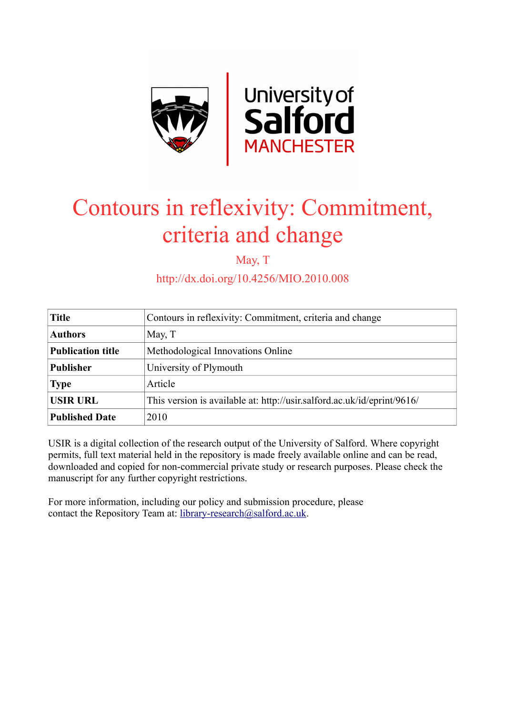

# Contours in reflexivity: Commitment, criteria and change

May, T

http://dx.doi.org/10.4256/MIO.2010.008

| <b>Title</b>             | Contours in reflexivity: Commitment, criteria and change                |
|--------------------------|-------------------------------------------------------------------------|
| <b>Authors</b>           | May, T                                                                  |
| <b>Publication title</b> | Methodological Innovations Online                                       |
| <b>Publisher</b>         | University of Plymouth                                                  |
| <b>Type</b>              | Article                                                                 |
| <b>USIR URL</b>          | This version is available at: http://usir.salford.ac.uk/id/eprint/9616/ |
| <b>Published Date</b>    | 2010                                                                    |

USIR is a digital collection of the research output of the University of Salford. Where copyright permits, full text material held in the repository is made freely available online and can be read, downloaded and copied for non-commercial private study or research purposes. Please check the manuscript for any further copyright restrictions.

For more information, including our policy and submission procedure, please contact the Repository Team at: [library-research@salford.ac.uk.](mailto:library-research@salford.ac.uk)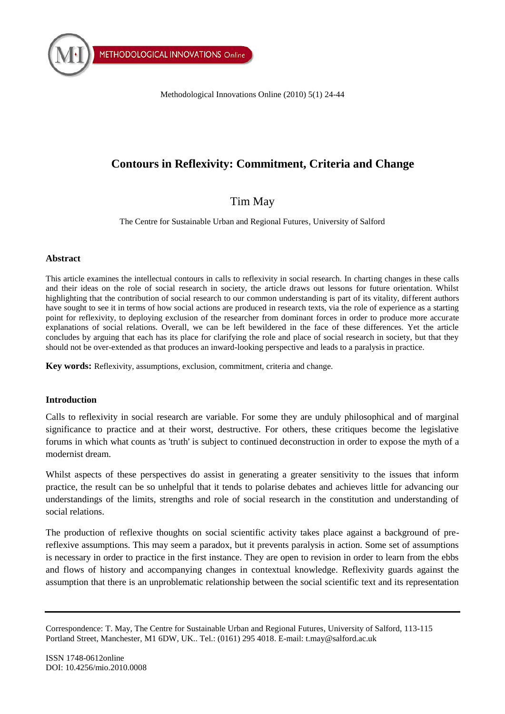Methodological Innovations Online (2010) 5(1) 24-44

## **Contours in Reflexivity: Commitment, Criteria and Change**

## Tim May

The Centre for Sustainable Urban and Regional Futures, University of Salford

#### **Abstract**

This article examines the intellectual contours in calls to reflexivity in social research. In charting changes in these calls and their ideas on the role of social research in society, the article draws out lessons for future orientation. Whilst highlighting that the contribution of social research to our common understanding is part of its vitality, different authors have sought to see it in terms of how social actions are produced in research texts, via the role of experience as a starting point for reflexivity, to deploying exclusion of the researcher from dominant forces in order to produce more accurate explanations of social relations. Overall, we can be left bewildered in the face of these differences. Yet the article concludes by arguing that each has its place for clarifying the role and place of social research in society, but that they should not be over-extended as that produces an inward-looking perspective and leads to a paralysis in practice.

**Key words:** Reflexivity, assumptions, exclusion, commitment, criteria and change.

#### **Introduction**

Calls to reflexivity in social research are variable. For some they are unduly philosophical and of marginal significance to practice and at their worst, destructive. For others, these critiques become the legislative forums in which what counts as 'truth' is subject to continued deconstruction in order to expose the myth of a modernist dream.

Whilst aspects of these perspectives do assist in generating a greater sensitivity to the issues that inform practice, the result can be so unhelpful that it tends to polarise debates and achieves little for advancing our understandings of the limits, strengths and role of social research in the constitution and understanding of social relations.

The production of reflexive thoughts on social scientific activity takes place against a background of prereflexive assumptions. This may seem a paradox, but it prevents paralysis in action. Some set of assumptions is necessary in order to practice in the first instance. They are open to revision in order to learn from the ebbs and flows of history and accompanying changes in contextual knowledge. Reflexivity guards against the assumption that there is an unproblematic relationship between the social scientific text and its representation

Correspondence: T. May, The Centre for Sustainable Urban and Regional Futures, University of Salford, 113-115 Portland Street, Manchester, M1 6DW, UK.. Tel.: (0161) 295 4018. E-mail: t.may@salford.ac.uk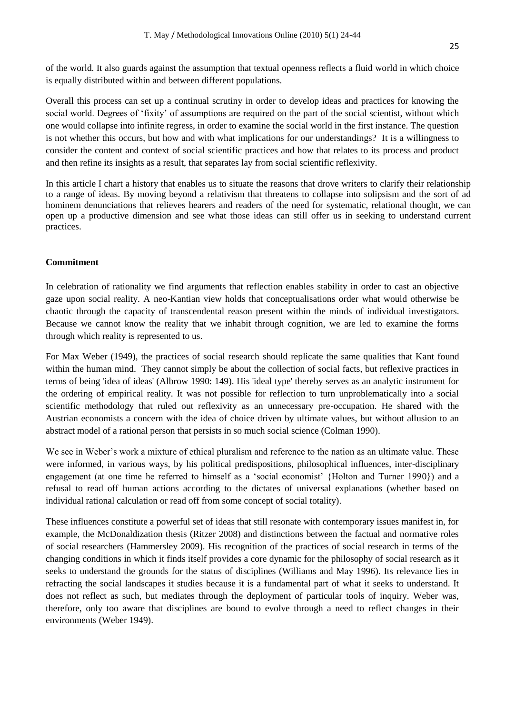of the world. It also guards against the assumption that textual openness reflects a fluid world in which choice is equally distributed within and between different populations.

Overall this process can set up a continual scrutiny in order to develop ideas and practices for knowing the social world. Degrees of "fixity" of assumptions are required on the part of the social scientist, without which one would collapse into infinite regress, in order to examine the social world in the first instance. The question is not whether this occurs, but how and with what implications for our understandings? It is a willingness to consider the content and context of social scientific practices and how that relates to its process and product and then refine its insights as a result, that separates lay from social scientific reflexivity.

In this article I chart a history that enables us to situate the reasons that drove writers to clarify their relationship to a range of ideas. By moving beyond a relativism that threatens to collapse into solipsism and the sort of ad hominem denunciations that relieves hearers and readers of the need for systematic, relational thought, we can open up a productive dimension and see what those ideas can still offer us in seeking to understand current practices.

### **Commitment**

In celebration of rationality we find arguments that reflection enables stability in order to cast an objective gaze upon social reality. A neo-Kantian view holds that conceptualisations order what would otherwise be chaotic through the capacity of transcendental reason present within the minds of individual investigators. Because we cannot know the reality that we inhabit through cognition, we are led to examine the forms through which reality is represented to us.

For Max Weber (1949), the practices of social research should replicate the same qualities that Kant found within the human mind. They cannot simply be about the collection of social facts, but reflexive practices in terms of being 'idea of ideas' (Albrow 1990: 149). His 'ideal type' thereby serves as an analytic instrument for the ordering of empirical reality. It was not possible for reflection to turn unproblematically into a social scientific methodology that ruled out reflexivity as an unnecessary pre-occupation. He shared with the Austrian economists a concern with the idea of choice driven by ultimate values, but without allusion to an abstract model of a rational person that persists in so much social science (Colman 1990).

We see in Weber's work a mixture of ethical pluralism and reference to the nation as an ultimate value. These were informed, in various ways, by his political predispositions, philosophical influences, inter-disciplinary engagement (at one time he referred to himself as a "social economist" {Holton and Turner 1990}) and a refusal to read off human actions according to the dictates of universal explanations (whether based on individual rational calculation or read off from some concept of social totality).

These influences constitute a powerful set of ideas that still resonate with contemporary issues manifest in, for example, the McDonaldization thesis (Ritzer 2008) and distinctions between the factual and normative roles of social researchers (Hammersley 2009). His recognition of the practices of social research in terms of the changing conditions in which it finds itself provides a core dynamic for the philosophy of social research as it seeks to understand the grounds for the status of disciplines (Williams and May 1996). Its relevance lies in refracting the social landscapes it studies because it is a fundamental part of what it seeks to understand. It does not reflect as such, but mediates through the deployment of particular tools of inquiry. Weber was, therefore, only too aware that disciplines are bound to evolve through a need to reflect changes in their environments (Weber 1949).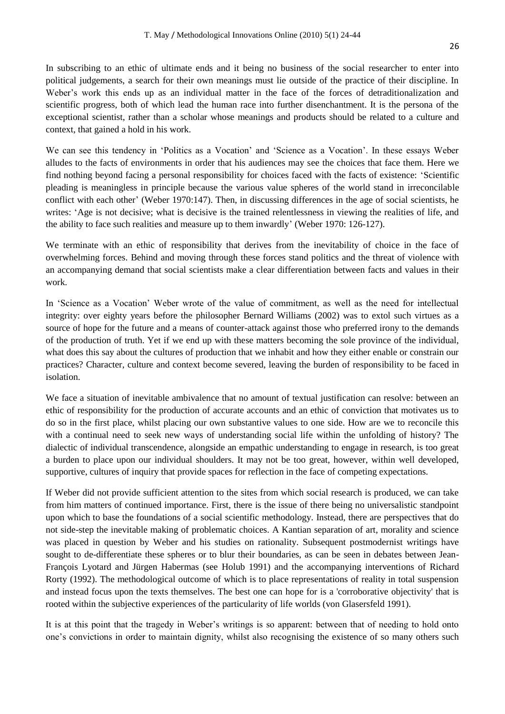In subscribing to an ethic of ultimate ends and it being no business of the social researcher to enter into political judgements, a search for their own meanings must lie outside of the practice of their discipline. In Weber's work this ends up as an individual matter in the face of the forces of detraditionalization and scientific progress, both of which lead the human race into further disenchantment. It is the persona of the exceptional scientist, rather than a scholar whose meanings and products should be related to a culture and context, that gained a hold in his work.

We can see this tendency in 'Politics as a Vocation' and 'Science as a Vocation'. In these essays Weber alludes to the facts of environments in order that his audiences may see the choices that face them. Here we find nothing beyond facing a personal responsibility for choices faced with the facts of existence: "Scientific pleading is meaningless in principle because the various value spheres of the world stand in irreconcilable conflict with each other" (Weber 1970:147). Then, in discussing differences in the age of social scientists, he writes: "Age is not decisive; what is decisive is the trained relentlessness in viewing the realities of life, and the ability to face such realities and measure up to them inwardly" (Weber 1970: 126-127).

We terminate with an ethic of responsibility that derives from the inevitability of choice in the face of overwhelming forces. Behind and moving through these forces stand politics and the threat of violence with an accompanying demand that social scientists make a clear differentiation between facts and values in their work.

In "Science as a Vocation" Weber wrote of the value of commitment, as well as the need for intellectual integrity: over eighty years before the philosopher Bernard Williams (2002) was to extol such virtues as a source of hope for the future and a means of counter-attack against those who preferred irony to the demands of the production of truth. Yet if we end up with these matters becoming the sole province of the individual, what does this say about the cultures of production that we inhabit and how they either enable or constrain our practices? Character, culture and context become severed, leaving the burden of responsibility to be faced in isolation.

We face a situation of inevitable ambivalence that no amount of textual justification can resolve: between an ethic of responsibility for the production of accurate accounts and an ethic of conviction that motivates us to do so in the first place, whilst placing our own substantive values to one side. How are we to reconcile this with a continual need to seek new ways of understanding social life within the unfolding of history? The dialectic of individual transcendence, alongside an empathic understanding to engage in research, is too great a burden to place upon our individual shoulders. It may not be too great, however, within well developed, supportive, cultures of inquiry that provide spaces for reflection in the face of competing expectations.

If Weber did not provide sufficient attention to the sites from which social research is produced, we can take from him matters of continued importance. First, there is the issue of there being no universalistic standpoint upon which to base the foundations of a social scientific methodology. Instead, there are perspectives that do not side-step the inevitable making of problematic choices. A Kantian separation of art, morality and science was placed in question by Weber and his studies on rationality. Subsequent postmodernist writings have sought to de-differentiate these spheres or to blur their boundaries, as can be seen in debates between Jean-François Lyotard and Jürgen Habermas (see Holub 1991) and the accompanying interventions of Richard Rorty (1992). The methodological outcome of which is to place representations of reality in total suspension and instead focus upon the texts themselves. The best one can hope for is a 'corroborative objectivity' that is rooted within the subjective experiences of the particularity of life worlds (von Glasersfeld 1991).

It is at this point that the tragedy in Weber"s writings is so apparent: between that of needing to hold onto one"s convictions in order to maintain dignity, whilst also recognising the existence of so many others such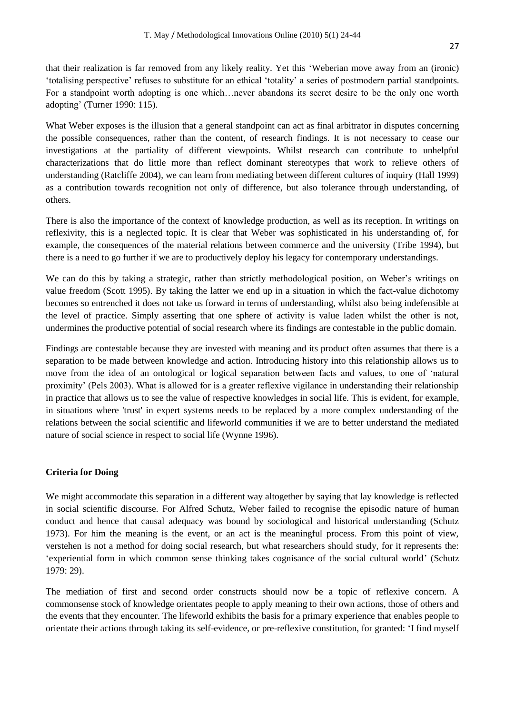that their realization is far removed from any likely reality. Yet this "Weberian move away from an (ironic) "totalising perspective" refuses to substitute for an ethical "totality" a series of postmodern partial standpoints. For a standpoint worth adopting is one which…never abandons its secret desire to be the only one worth adopting" (Turner 1990: 115).

What Weber exposes is the illusion that a general standpoint can act as final arbitrator in disputes concerning the possible consequences, rather than the content, of research findings. It is not necessary to cease our investigations at the partiality of different viewpoints. Whilst research can contribute to unhelpful characterizations that do little more than reflect dominant stereotypes that work to relieve others of understanding (Ratcliffe 2004), we can learn from mediating between different cultures of inquiry (Hall 1999) as a contribution towards recognition not only of difference, but also tolerance through understanding, of others.

There is also the importance of the context of knowledge production, as well as its reception. In writings on reflexivity, this is a neglected topic. It is clear that Weber was sophisticated in his understanding of, for example, the consequences of the material relations between commerce and the university (Tribe 1994), but there is a need to go further if we are to productively deploy his legacy for contemporary understandings.

We can do this by taking a strategic, rather than strictly methodological position, on Weber's writings on value freedom (Scott 1995). By taking the latter we end up in a situation in which the fact-value dichotomy becomes so entrenched it does not take us forward in terms of understanding, whilst also being indefensible at the level of practice. Simply asserting that one sphere of activity is value laden whilst the other is not, undermines the productive potential of social research where its findings are contestable in the public domain.

Findings are contestable because they are invested with meaning and its product often assumes that there is a separation to be made between knowledge and action. Introducing history into this relationship allows us to move from the idea of an ontological or logical separation between facts and values, to one of "natural proximity" (Pels 2003). What is allowed for is a greater reflexive vigilance in understanding their relationship in practice that allows us to see the value of respective knowledges in social life. This is evident, for example, in situations where 'trust' in expert systems needs to be replaced by a more complex understanding of the relations between the social scientific and lifeworld communities if we are to better understand the mediated nature of social science in respect to social life (Wynne 1996).

#### **Criteria for Doing**

We might accommodate this separation in a different way altogether by saying that lay knowledge is reflected in social scientific discourse. For Alfred Schutz, Weber failed to recognise the episodic nature of human conduct and hence that causal adequacy was bound by sociological and historical understanding (Schutz 1973). For him the meaning is the event, or an act is the meaningful process. From this point of view, verstehen is not a method for doing social research, but what researchers should study, for it represents the: "experiential form in which common sense thinking takes cognisance of the social cultural world" (Schutz 1979: 29).

The mediation of first and second order constructs should now be a topic of reflexive concern. A commonsense stock of knowledge orientates people to apply meaning to their own actions, those of others and the events that they encounter. The lifeworld exhibits the basis for a primary experience that enables people to orientate their actions through taking its self-evidence, or pre-reflexive constitution, for granted: "I find myself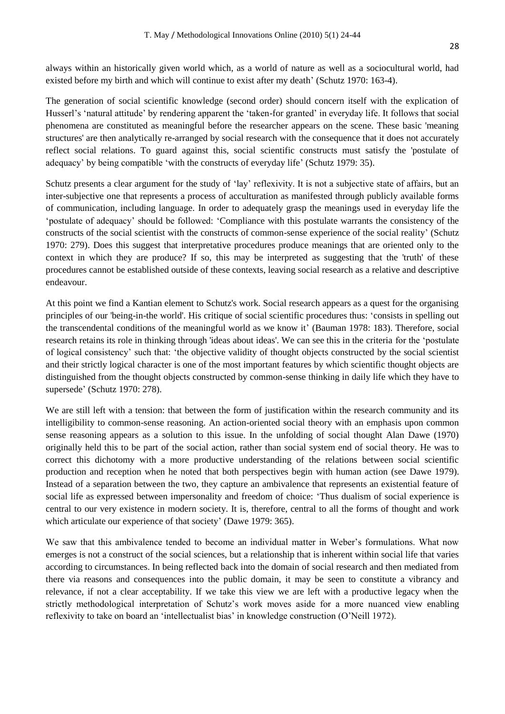always within an historically given world which, as a world of nature as well as a sociocultural world, had existed before my birth and which will continue to exist after my death' (Schutz 1970: 163-4).

The generation of social scientific knowledge (second order) should concern itself with the explication of Husserl's 'natural attitude' by rendering apparent the 'taken-for granted' in everyday life. It follows that social phenomena are constituted as meaningful before the researcher appears on the scene. These basic 'meaning structures' are then analytically re-arranged by social research with the consequence that it does not accurately reflect social relations. To guard against this, social scientific constructs must satisfy the 'postulate of adequacy' by being compatible 'with the constructs of everyday life' (Schutz 1979: 35).

Schutz presents a clear argument for the study of 'lay' reflexivity. It is not a subjective state of affairs, but an inter-subjective one that represents a process of acculturation as manifested through publicly available forms of communication, including language. In order to adequately grasp the meanings used in everyday life the "postulate of adequacy" should be followed: "Compliance with this postulate warrants the consistency of the constructs of the social scientist with the constructs of common-sense experience of the social reality" (Schutz 1970: 279). Does this suggest that interpretative procedures produce meanings that are oriented only to the context in which they are produce? If so, this may be interpreted as suggesting that the 'truth' of these procedures cannot be established outside of these contexts, leaving social research as a relative and descriptive endeavour.

At this point we find a Kantian element to Schutz's work. Social research appears as a quest for the organising principles of our 'being-in-the world'. His critique of social scientific procedures thus: "consists in spelling out the transcendental conditions of the meaningful world as we know it" (Bauman 1978: 183). Therefore, social research retains its role in thinking through 'ideas about ideas'. We can see this in the criteria for the "postulate of logical consistency" such that: "the objective validity of thought objects constructed by the social scientist and their strictly logical character is one of the most important features by which scientific thought objects are distinguished from the thought objects constructed by common-sense thinking in daily life which they have to supersede" (Schutz 1970: 278).

We are still left with a tension: that between the form of justification within the research community and its intelligibility to common-sense reasoning. An action-oriented social theory with an emphasis upon common sense reasoning appears as a solution to this issue. In the unfolding of social thought Alan Dawe (1970) originally held this to be part of the social action, rather than social system end of social theory. He was to correct this dichotomy with a more productive understanding of the relations between social scientific production and reception when he noted that both perspectives begin with human action (see Dawe 1979). Instead of a separation between the two, they capture an ambivalence that represents an existential feature of social life as expressed between impersonality and freedom of choice: "Thus dualism of social experience is central to our very existence in modern society. It is, therefore, central to all the forms of thought and work which articulate our experience of that society' (Dawe 1979: 365).

We saw that this ambivalence tended to become an individual matter in Weber's formulations. What now emerges is not a construct of the social sciences, but a relationship that is inherent within social life that varies according to circumstances. In being reflected back into the domain of social research and then mediated from there via reasons and consequences into the public domain, it may be seen to constitute a vibrancy and relevance, if not a clear acceptability. If we take this view we are left with a productive legacy when the strictly methodological interpretation of Schutz"s work moves aside for a more nuanced view enabling reflexivity to take on board an 'intellectualist bias' in knowledge construction (O'Neill 1972).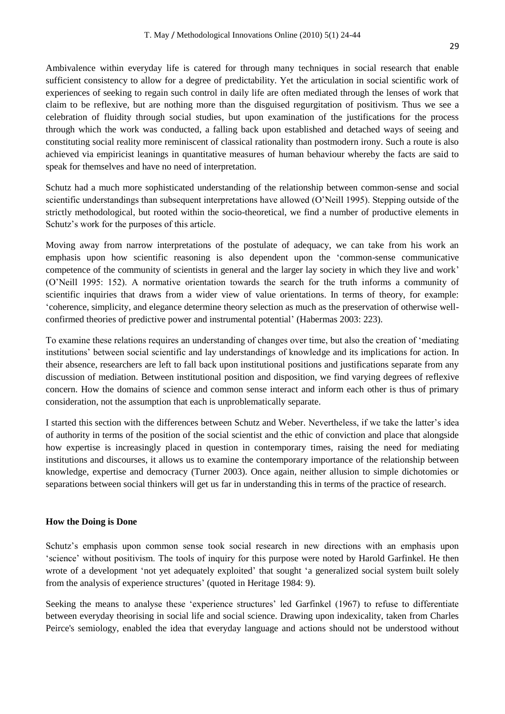Ambivalence within everyday life is catered for through many techniques in social research that enable sufficient consistency to allow for a degree of predictability. Yet the articulation in social scientific work of experiences of seeking to regain such control in daily life are often mediated through the lenses of work that claim to be reflexive, but are nothing more than the disguised regurgitation of positivism. Thus we see a celebration of fluidity through social studies, but upon examination of the justifications for the process through which the work was conducted, a falling back upon established and detached ways of seeing and constituting social reality more reminiscent of classical rationality than postmodern irony. Such a route is also achieved via empiricist leanings in quantitative measures of human behaviour whereby the facts are said to speak for themselves and have no need of interpretation.

Schutz had a much more sophisticated understanding of the relationship between common-sense and social scientific understandings than subsequent interpretations have allowed (O"Neill 1995). Stepping outside of the strictly methodological, but rooted within the socio-theoretical, we find a number of productive elements in Schutz"s work for the purposes of this article.

Moving away from narrow interpretations of the postulate of adequacy, we can take from his work an emphasis upon how scientific reasoning is also dependent upon the "common-sense communicative competence of the community of scientists in general and the larger lay society in which they live and work" (O"Neill 1995: 152). A normative orientation towards the search for the truth informs a community of scientific inquiries that draws from a wider view of value orientations. In terms of theory, for example: "coherence, simplicity, and elegance determine theory selection as much as the preservation of otherwise wellconfirmed theories of predictive power and instrumental potential" (Habermas 2003: 223).

To examine these relations requires an understanding of changes over time, but also the creation of "mediating institutions" between social scientific and lay understandings of knowledge and its implications for action. In their absence, researchers are left to fall back upon institutional positions and justifications separate from any discussion of mediation. Between institutional position and disposition, we find varying degrees of reflexive concern. How the domains of science and common sense interact and inform each other is thus of primary consideration, not the assumption that each is unproblematically separate.

I started this section with the differences between Schutz and Weber. Nevertheless, if we take the latter"s idea of authority in terms of the position of the social scientist and the ethic of conviction and place that alongside how expertise is increasingly placed in question in contemporary times, raising the need for mediating institutions and discourses, it allows us to examine the contemporary importance of the relationship between knowledge, expertise and democracy (Turner 2003). Once again, neither allusion to simple dichotomies or separations between social thinkers will get us far in understanding this in terms of the practice of research.

#### **How the Doing is Done**

Schutz"s emphasis upon common sense took social research in new directions with an emphasis upon "science" without positivism. The tools of inquiry for this purpose were noted by Harold Garfinkel. He then wrote of a development 'not yet adequately exploited' that sought 'a generalized social system built solely from the analysis of experience structures' (quoted in Heritage 1984: 9).

Seeking the means to analyse these 'experience structures' led Garfinkel (1967) to refuse to differentiate between everyday theorising in social life and social science. Drawing upon indexicality, taken from Charles Peirce's semiology, enabled the idea that everyday language and actions should not be understood without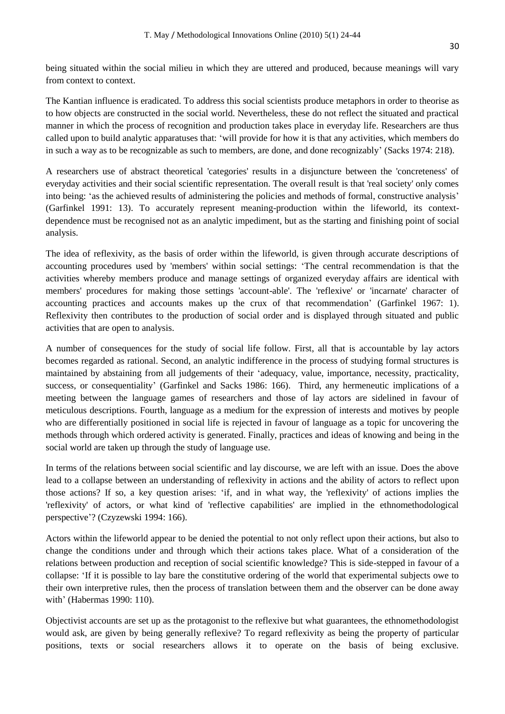being situated within the social milieu in which they are uttered and produced, because meanings will vary from context to context.

The Kantian influence is eradicated. To address this social scientists produce metaphors in order to theorise as to how objects are constructed in the social world. Nevertheless, these do not reflect the situated and practical manner in which the process of recognition and production takes place in everyday life. Researchers are thus called upon to build analytic apparatuses that: "will provide for how it is that any activities, which members do in such a way as to be recognizable as such to members, are done, and done recognizably" (Sacks 1974: 218).

A researchers use of abstract theoretical 'categories' results in a disjuncture between the 'concreteness' of everyday activities and their social scientific representation. The overall result is that 'real society' only comes into being: 'as the achieved results of administering the policies and methods of formal, constructive analysis' (Garfinkel 1991: 13). To accurately represent meaning-production within the lifeworld, its contextdependence must be recognised not as an analytic impediment, but as the starting and finishing point of social analysis.

The idea of reflexivity, as the basis of order within the lifeworld, is given through accurate descriptions of accounting procedures used by 'members' within social settings: "The central recommendation is that the activities whereby members produce and manage settings of organized everyday affairs are identical with members' procedures for making those settings 'account-able'. The 'reflexive' or 'incarnate' character of accounting practices and accounts makes up the crux of that recommendation" (Garfinkel 1967: 1). Reflexivity then contributes to the production of social order and is displayed through situated and public activities that are open to analysis.

A number of consequences for the study of social life follow. First, all that is accountable by lay actors becomes regarded as rational. Second, an analytic indifference in the process of studying formal structures is maintained by abstaining from all judgements of their "adequacy, value, importance, necessity, practicality, success, or consequentiality" (Garfinkel and Sacks 1986: 166). Third, any hermeneutic implications of a meeting between the language games of researchers and those of lay actors are sidelined in favour of meticulous descriptions. Fourth, language as a medium for the expression of interests and motives by people who are differentially positioned in social life is rejected in favour of language as a topic for uncovering the methods through which ordered activity is generated. Finally, practices and ideas of knowing and being in the social world are taken up through the study of language use.

In terms of the relations between social scientific and lay discourse, we are left with an issue. Does the above lead to a collapse between an understanding of reflexivity in actions and the ability of actors to reflect upon those actions? If so, a key question arises: "if, and in what way, the 'reflexivity' of actions implies the 'reflexivity' of actors, or what kind of 'reflective capabilities' are implied in the ethnomethodological perspective"? (Czyzewski 1994: 166).

Actors within the lifeworld appear to be denied the potential to not only reflect upon their actions, but also to change the conditions under and through which their actions takes place. What of a consideration of the relations between production and reception of social scientific knowledge? This is side-stepped in favour of a collapse: "If it is possible to lay bare the constitutive ordering of the world that experimental subjects owe to their own interpretive rules, then the process of translation between them and the observer can be done away with" (Habermas 1990: 110).

Objectivist accounts are set up as the protagonist to the reflexive but what guarantees, the ethnomethodologist would ask, are given by being generally reflexive? To regard reflexivity as being the property of particular positions, texts or social researchers allows it to operate on the basis of being exclusive.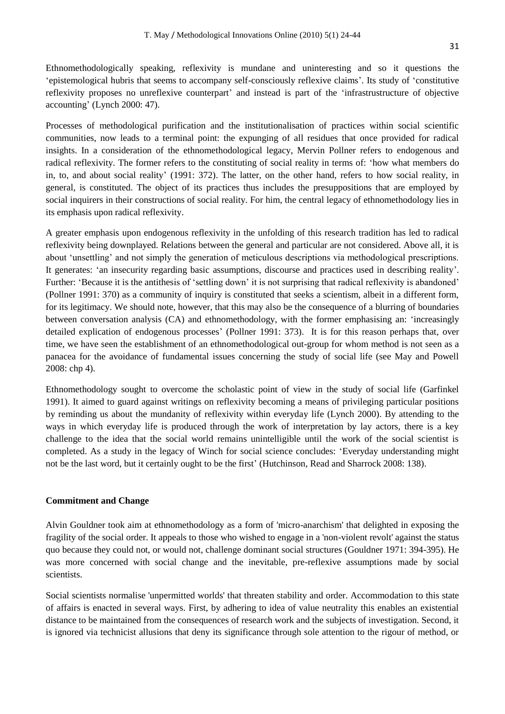Ethnomethodologically speaking, reflexivity is mundane and uninteresting and so it questions the "epistemological hubris that seems to accompany self-consciously reflexive claims". Its study of "constitutive reflexivity proposes no unreflexive counterpart" and instead is part of the "infrastrustructure of objective accounting" (Lynch 2000: 47).

Processes of methodological purification and the institutionalisation of practices within social scientific communities, now leads to a terminal point: the expunging of all residues that once provided for radical insights. In a consideration of the ethnomethodological legacy, Mervin Pollner refers to endogenous and radical reflexivity. The former refers to the constituting of social reality in terms of: "how what members do in, to, and about social reality' (1991: 372). The latter, on the other hand, refers to how social reality, in general, is constituted. The object of its practices thus includes the presuppositions that are employed by social inquirers in their constructions of social reality. For him, the central legacy of ethnomethodology lies in its emphasis upon radical reflexivity.

A greater emphasis upon endogenous reflexivity in the unfolding of this research tradition has led to radical reflexivity being downplayed. Relations between the general and particular are not considered. Above all, it is about "unsettling" and not simply the generation of meticulous descriptions via methodological prescriptions. It generates: "an insecurity regarding basic assumptions, discourse and practices used in describing reality". Further: 'Because it is the antithesis of 'settling down' it is not surprising that radical reflexivity is abandoned' (Pollner 1991: 370) as a community of inquiry is constituted that seeks a scientism, albeit in a different form, for its legitimacy. We should note, however, that this may also be the consequence of a blurring of boundaries between conversation analysis (CA) and ethnomethodology, with the former emphasising an: "increasingly detailed explication of endogenous processes' (Pollner 1991: 373). It is for this reason perhaps that, over time, we have seen the establishment of an ethnomethodological out-group for whom method is not seen as a panacea for the avoidance of fundamental issues concerning the study of social life (see May and Powell 2008: chp 4).

Ethnomethodology sought to overcome the scholastic point of view in the study of social life (Garfinkel 1991). It aimed to guard against writings on reflexivity becoming a means of privileging particular positions by reminding us about the mundanity of reflexivity within everyday life (Lynch 2000). By attending to the ways in which everyday life is produced through the work of interpretation by lay actors, there is a key challenge to the idea that the social world remains unintelligible until the work of the social scientist is completed. As a study in the legacy of Winch for social science concludes: "Everyday understanding might not be the last word, but it certainly ought to be the first" (Hutchinson, Read and Sharrock 2008: 138).

#### **Commitment and Change**

Alvin Gouldner took aim at ethnomethodology as a form of 'micro-anarchism' that delighted in exposing the fragility of the social order. It appeals to those who wished to engage in a 'non-violent revolt' against the status quo because they could not, or would not, challenge dominant social structures (Gouldner 1971: 394-395). He was more concerned with social change and the inevitable, pre-reflexive assumptions made by social scientists.

Social scientists normalise 'unpermitted worlds' that threaten stability and order. Accommodation to this state of affairs is enacted in several ways. First, by adhering to idea of value neutrality this enables an existential distance to be maintained from the consequences of research work and the subjects of investigation. Second, it is ignored via technicist allusions that deny its significance through sole attention to the rigour of method, or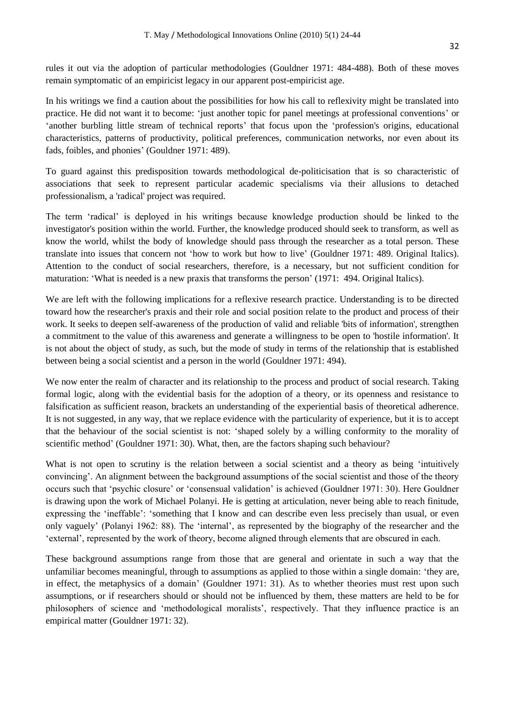In his writings we find a caution about the possibilities for how his call to reflexivity might be translated into practice. He did not want it to become: "just another topic for panel meetings at professional conventions" or "another burbling little stream of technical reports" that focus upon the "profession's origins, educational characteristics, patterns of productivity, political preferences, communication networks, nor even about its fads, foibles, and phonies' (Gouldner 1971: 489).

To guard against this predisposition towards methodological de-politicisation that is so characteristic of associations that seek to represent particular academic specialisms via their allusions to detached professionalism, a 'radical' project was required.

The term "radical" is deployed in his writings because knowledge production should be linked to the investigator's position within the world. Further, the knowledge produced should seek to transform, as well as know the world, whilst the body of knowledge should pass through the researcher as a total person. These translate into issues that concern not "how to work but how to live" (Gouldner 1971: 489. Original Italics). Attention to the conduct of social researchers, therefore, is a necessary, but not sufficient condition for maturation: "What is needed is a new praxis that transforms the person" (1971: 494. Original Italics).

We are left with the following implications for a reflexive research practice. Understanding is to be directed toward how the researcher's praxis and their role and social position relate to the product and process of their work. It seeks to deepen self-awareness of the production of valid and reliable 'bits of information', strengthen a commitment to the value of this awareness and generate a willingness to be open to 'hostile information'. It is not about the object of study, as such, but the mode of study in terms of the relationship that is established between being a social scientist and a person in the world (Gouldner 1971: 494).

We now enter the realm of character and its relationship to the process and product of social research. Taking formal logic, along with the evidential basis for the adoption of a theory, or its openness and resistance to falsification as sufficient reason, brackets an understanding of the experiential basis of theoretical adherence. It is not suggested, in any way, that we replace evidence with the particularity of experience, but it is to accept that the behaviour of the social scientist is not: "shaped solely by a willing conformity to the morality of scientific method' (Gouldner 1971: 30). What, then, are the factors shaping such behaviour?

What is not open to scrutiny is the relation between a social scientist and a theory as being 'intuitively convincing". An alignment between the background assumptions of the social scientist and those of the theory occurs such that "psychic closure" or "consensual validation" is achieved (Gouldner 1971: 30). Here Gouldner is drawing upon the work of Michael Polanyi. He is getting at articulation, never being able to reach finitude, expressing the "ineffable": "something that I know and can describe even less precisely than usual, or even only vaguely" (Polanyi 1962: 88). The "internal", as represented by the biography of the researcher and the 'external', represented by the work of theory, become aligned through elements that are obscured in each.

These background assumptions range from those that are general and orientate in such a way that the unfamiliar becomes meaningful, through to assumptions as applied to those within a single domain: "they are, in effect, the metaphysics of a domain' (Gouldner 1971: 31). As to whether theories must rest upon such assumptions, or if researchers should or should not be influenced by them, these matters are held to be for philosophers of science and "methodological moralists", respectively. That they influence practice is an empirical matter (Gouldner 1971: 32).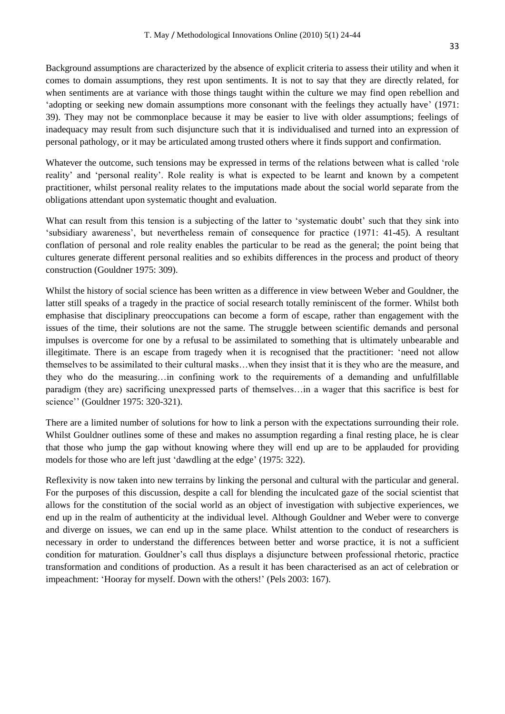Background assumptions are characterized by the absence of explicit criteria to assess their utility and when it comes to domain assumptions, they rest upon sentiments. It is not to say that they are directly related, for when sentiments are at variance with those things taught within the culture we may find open rebellion and "adopting or seeking new domain assumptions more consonant with the feelings they actually have" (1971: 39). They may not be commonplace because it may be easier to live with older assumptions; feelings of inadequacy may result from such disjuncture such that it is individualised and turned into an expression of personal pathology, or it may be articulated among trusted others where it finds support and confirmation.

Whatever the outcome, such tensions may be expressed in terms of the relations between what is called "role reality" and "personal reality". Role reality is what is expected to be learnt and known by a competent practitioner, whilst personal reality relates to the imputations made about the social world separate from the obligations attendant upon systematic thought and evaluation.

What can result from this tension is a subjecting of the latter to 'systematic doubt' such that they sink into "subsidiary awareness", but nevertheless remain of consequence for practice (1971: 41-45). A resultant conflation of personal and role reality enables the particular to be read as the general; the point being that cultures generate different personal realities and so exhibits differences in the process and product of theory construction (Gouldner 1975: 309).

Whilst the history of social science has been written as a difference in view between Weber and Gouldner, the latter still speaks of a tragedy in the practice of social research totally reminiscent of the former. Whilst both emphasise that disciplinary preoccupations can become a form of escape, rather than engagement with the issues of the time, their solutions are not the same. The struggle between scientific demands and personal impulses is overcome for one by a refusal to be assimilated to something that is ultimately unbearable and illegitimate. There is an escape from tragedy when it is recognised that the practitioner: "need not allow themselves to be assimilated to their cultural masks…when they insist that it is they who are the measure, and they who do the measuring…in confining work to the requirements of a demanding and unfulfillable paradigm (they are) sacrificing unexpressed parts of themselves…in a wager that this sacrifice is best for science" (Gouldner 1975: 320-321).

There are a limited number of solutions for how to link a person with the expectations surrounding their role. Whilst Gouldner outlines some of these and makes no assumption regarding a final resting place, he is clear that those who jump the gap without knowing where they will end up are to be applauded for providing models for those who are left just "dawdling at the edge" (1975: 322).

Reflexivity is now taken into new terrains by linking the personal and cultural with the particular and general. For the purposes of this discussion, despite a call for blending the inculcated gaze of the social scientist that allows for the constitution of the social world as an object of investigation with subjective experiences, we end up in the realm of authenticity at the individual level. Although Gouldner and Weber were to converge and diverge on issues, we can end up in the same place. Whilst attention to the conduct of researchers is necessary in order to understand the differences between better and worse practice, it is not a sufficient condition for maturation. Gouldner"s call thus displays a disjuncture between professional rhetoric, practice transformation and conditions of production. As a result it has been characterised as an act of celebration or impeachment: "Hooray for myself. Down with the others!" (Pels 2003: 167).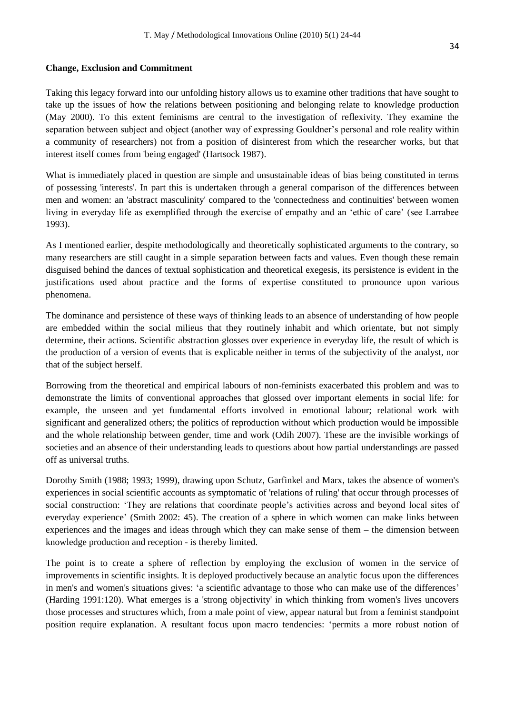#### **Change, Exclusion and Commitment**

Taking this legacy forward into our unfolding history allows us to examine other traditions that have sought to take up the issues of how the relations between positioning and belonging relate to knowledge production (May 2000). To this extent feminisms are central to the investigation of reflexivity. They examine the separation between subject and object (another way of expressing Gouldner"s personal and role reality within a community of researchers) not from a position of disinterest from which the researcher works, but that interest itself comes from 'being engaged' (Hartsock 1987).

What is immediately placed in question are simple and unsustainable ideas of bias being constituted in terms of possessing 'interests'. In part this is undertaken through a general comparison of the differences between men and women: an 'abstract masculinity' compared to the 'connectedness and continuities' between women living in everyday life as exemplified through the exercise of empathy and an "ethic of care" (see Larrabee 1993).

As I mentioned earlier, despite methodologically and theoretically sophisticated arguments to the contrary, so many researchers are still caught in a simple separation between facts and values. Even though these remain disguised behind the dances of textual sophistication and theoretical exegesis, its persistence is evident in the justifications used about practice and the forms of expertise constituted to pronounce upon various phenomena.

The dominance and persistence of these ways of thinking leads to an absence of understanding of how people are embedded within the social milieus that they routinely inhabit and which orientate, but not simply determine, their actions. Scientific abstraction glosses over experience in everyday life, the result of which is the production of a version of events that is explicable neither in terms of the subjectivity of the analyst, nor that of the subject herself.

Borrowing from the theoretical and empirical labours of non-feminists exacerbated this problem and was to demonstrate the limits of conventional approaches that glossed over important elements in social life: for example, the unseen and yet fundamental efforts involved in emotional labour; relational work with significant and generalized others; the politics of reproduction without which production would be impossible and the whole relationship between gender, time and work (Odih 2007). These are the invisible workings of societies and an absence of their understanding leads to questions about how partial understandings are passed off as universal truths.

Dorothy Smith (1988; 1993; 1999), drawing upon Schutz, Garfinkel and Marx, takes the absence of women's experiences in social scientific accounts as symptomatic of 'relations of ruling' that occur through processes of social construction: 'They are relations that coordinate people's activities across and beyond local sites of everyday experience" (Smith 2002: 45). The creation of a sphere in which women can make links between experiences and the images and ideas through which they can make sense of them – the dimension between knowledge production and reception - is thereby limited.

The point is to create a sphere of reflection by employing the exclusion of women in the service of improvements in scientific insights. It is deployed productively because an analytic focus upon the differences in men's and women's situations gives: "a scientific advantage to those who can make use of the differences" (Harding 1991:120). What emerges is a 'strong objectivity' in which thinking from women's lives uncovers those processes and structures which, from a male point of view, appear natural but from a feminist standpoint position require explanation. A resultant focus upon macro tendencies: "permits a more robust notion of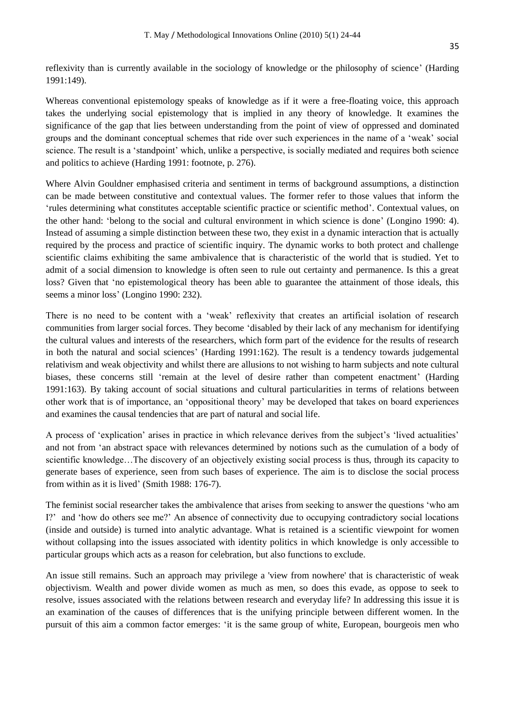reflexivity than is currently available in the sociology of knowledge or the philosophy of science" (Harding 1991:149).

Whereas conventional epistemology speaks of knowledge as if it were a free-floating voice, this approach takes the underlying social epistemology that is implied in any theory of knowledge. It examines the significance of the gap that lies between understanding from the point of view of oppressed and dominated groups and the dominant conceptual schemes that ride over such experiences in the name of a "weak" social science. The result is a 'standpoint' which, unlike a perspective, is socially mediated and requires both science and politics to achieve (Harding 1991: footnote, p. 276).

Where Alvin Gouldner emphasised criteria and sentiment in terms of background assumptions, a distinction can be made between constitutive and contextual values. The former refer to those values that inform the "rules determining what constitutes acceptable scientific practice or scientific method". Contextual values, on the other hand: "belong to the social and cultural environment in which science is done" (Longino 1990: 4). Instead of assuming a simple distinction between these two, they exist in a dynamic interaction that is actually required by the process and practice of scientific inquiry. The dynamic works to both protect and challenge scientific claims exhibiting the same ambivalence that is characteristic of the world that is studied. Yet to admit of a social dimension to knowledge is often seen to rule out certainty and permanence. Is this a great loss? Given that 'no epistemological theory has been able to guarantee the attainment of those ideals, this seems a minor loss' (Longino 1990: 232).

There is no need to be content with a 'weak' reflexivity that creates an artificial isolation of research communities from larger social forces. They become "disabled by their lack of any mechanism for identifying the cultural values and interests of the researchers, which form part of the evidence for the results of research in both the natural and social sciences" (Harding 1991:162). The result is a tendency towards judgemental relativism and weak objectivity and whilst there are allusions to not wishing to harm subjects and note cultural biases, these concerns still 'remain at the level of desire rather than competent enactment' (Harding 1991:163). By taking account of social situations and cultural particularities in terms of relations between other work that is of importance, an "oppositional theory" may be developed that takes on board experiences and examines the causal tendencies that are part of natural and social life.

A process of 'explication' arises in practice in which relevance derives from the subject's 'lived actualities' and not from "an abstract space with relevances determined by notions such as the cumulation of a body of scientific knowledge…The discovery of an objectively existing social process is thus, through its capacity to generate bases of experience, seen from such bases of experience*.* The aim is to disclose the social process from within as it is lived' (Smith 1988: 176-7).

The feminist social researcher takes the ambivalence that arises from seeking to answer the questions "who am I?" and "how do others see me?" An absence of connectivity due to occupying contradictory social locations (inside and outside) is turned into analytic advantage. What is retained is a scientific viewpoint for women without collapsing into the issues associated with identity politics in which knowledge is only accessible to particular groups which acts as a reason for celebration, but also functions to exclude.

An issue still remains. Such an approach may privilege a 'view from nowhere' that is characteristic of weak objectivism. Wealth and power divide women as much as men, so does this evade, as oppose to seek to resolve, issues associated with the relations between research and everyday life? In addressing this issue it is an examination of the causes of differences that is the unifying principle between different women. In the pursuit of this aim a common factor emerges: "it is the same group of white, European, bourgeois men who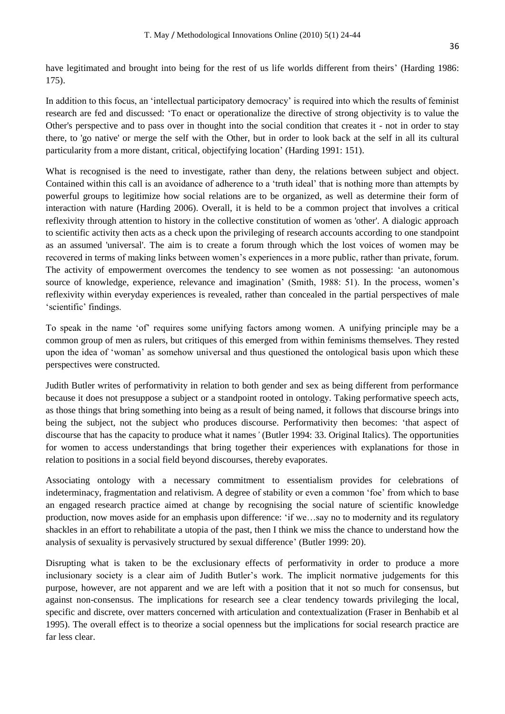have legitimated and brought into being for the rest of us life worlds different from theirs' (Harding 1986: 175).

In addition to this focus, an "intellectual participatory democracy" is required into which the results of feminist research are fed and discussed: "To enact or operationalize the directive of strong objectivity is to value the Other's perspective and to pass over in thought into the social condition that creates it - not in order to stay there, to 'go native' or merge the self with the Other, but in order to look back at the self in all its cultural particularity from a more distant, critical, objectifying location" (Harding 1991: 151).

What is recognised is the need to investigate, rather than deny, the relations between subject and object. Contained within this call is an avoidance of adherence to a "truth ideal" that is nothing more than attempts by powerful groups to legitimize how social relations are to be organized, as well as determine their form of interaction with nature (Harding 2006). Overall, it is held to be a common project that involves a critical reflexivity through attention to history in the collective constitution of women as 'other'. A dialogic approach to scientific activity then acts as a check upon the privileging of research accounts according to one standpoint as an assumed 'universal'. The aim is to create a forum through which the lost voices of women may be recovered in terms of making links between women"s experiences in a more public, rather than private, forum. The activity of empowerment overcomes the tendency to see women as not possessing: "an autonomous source of knowledge, experience, relevance and imagination' (Smith, 1988: 51). In the process, women's reflexivity within everyday experiences is revealed, rather than concealed in the partial perspectives of male 'scientific' findings.

To speak in the name "of" requires some unifying factors among women. A unifying principle may be a common group of men as rulers, but critiques of this emerged from within feminisms themselves. They rested upon the idea of "woman" as somehow universal and thus questioned the ontological basis upon which these perspectives were constructed.

Judith Butler writes of performativity in relation to both gender and sex as being different from performance because it does not presuppose a subject or a standpoint rooted in ontology. Taking performative speech acts, as those things that bring something into being as a result of being named, it follows that discourse brings into being the subject, not the subject who produces discourse. Performativity then becomes: "that aspect of discourse that has the capacity to produce what it names*'* (Butler 1994: 33. Original Italics). The opportunities for women to access understandings that bring together their experiences with explanations for those in relation to positions in a social field beyond discourses, thereby evaporates.

Associating ontology with a necessary commitment to essentialism provides for celebrations of indeterminacy, fragmentation and relativism. A degree of stability or even a common "foe" from which to base an engaged research practice aimed at change by recognising the social nature of scientific knowledge production, now moves aside for an emphasis upon difference: "if we…say no to modernity and its regulatory shackles in an effort to rehabilitate a utopia of the past, then I think we miss the chance to understand how the analysis of sexuality is pervasively structured by sexual difference" (Butler 1999: 20).

Disrupting what is taken to be the exclusionary effects of performativity in order to produce a more inclusionary society is a clear aim of Judith Butler's work. The implicit normative judgements for this purpose, however, are not apparent and we are left with a position that it not so much for consensus, but against non-consensus. The implications for research see a clear tendency towards privileging the local, specific and discrete, over matters concerned with articulation and contextualization (Fraser in Benhabib et al 1995). The overall effect is to theorize a social openness but the implications for social research practice are far less clear.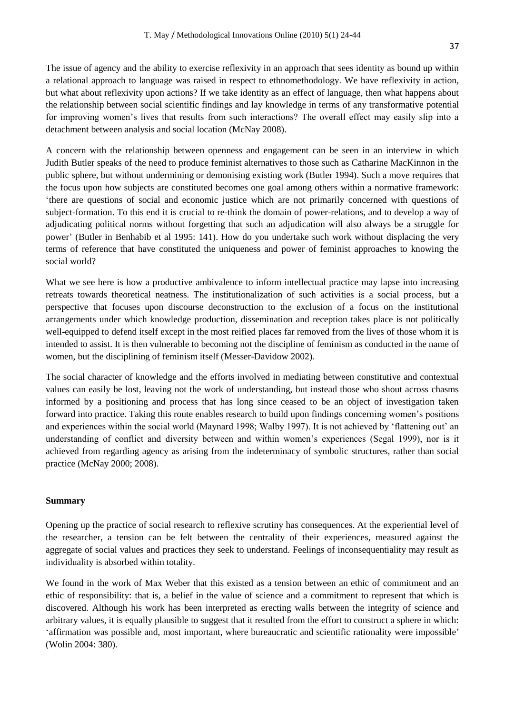The issue of agency and the ability to exercise reflexivity in an approach that sees identity as bound up within a relational approach to language was raised in respect to ethnomethodology. We have reflexivity in action, but what about reflexivity upon actions? If we take identity as an effect of language, then what happens about the relationship between social scientific findings and lay knowledge in terms of any transformative potential for improving women"s lives that results from such interactions? The overall effect may easily slip into a detachment between analysis and social location (McNay 2008).

A concern with the relationship between openness and engagement can be seen in an interview in which Judith Butler speaks of the need to produce feminist alternatives to those such as Catharine MacKinnon in the public sphere, but without undermining or demonising existing work (Butler 1994). Such a move requires that the focus upon how subjects are constituted becomes one goal among others within a normative framework: "there are questions of social and economic justice which are not primarily concerned with questions of subject-formation. To this end it is crucial to re-think the domain of power-relations, and to develop a way of adjudicating political norms without forgetting that such an adjudication will also always be a struggle for power" (Butler in Benhabib et al 1995: 141). How do you undertake such work without displacing the very terms of reference that have constituted the uniqueness and power of feminist approaches to knowing the social world?

What we see here is how a productive ambivalence to inform intellectual practice may lapse into increasing retreats towards theoretical neatness. The institutionalization of such activities is a social process, but a perspective that focuses upon discourse deconstruction to the exclusion of a focus on the institutional arrangements under which knowledge production, dissemination and reception takes place is not politically well-equipped to defend itself except in the most reified places far removed from the lives of those whom it is intended to assist. It is then vulnerable to becoming not the discipline of feminism as conducted in the name of women, but the disciplining of feminism itself (Messer-Davidow 2002).

The social character of knowledge and the efforts involved in mediating between constitutive and contextual values can easily be lost, leaving not the work of understanding, but instead those who shout across chasms informed by a positioning and process that has long since ceased to be an object of investigation taken forward into practice. Taking this route enables research to build upon findings concerning women"s positions and experiences within the social world (Maynard 1998; Walby 1997). It is not achieved by "flattening out" an understanding of conflict and diversity between and within women"s experiences (Segal 1999), nor is it achieved from regarding agency as arising from the indeterminacy of symbolic structures, rather than social practice (McNay 2000; 2008).

#### **Summary**

Opening up the practice of social research to reflexive scrutiny has consequences. At the experiential level of the researcher, a tension can be felt between the centrality of their experiences, measured against the aggregate of social values and practices they seek to understand. Feelings of inconsequentiality may result as individuality is absorbed within totality.

We found in the work of Max Weber that this existed as a tension between an ethic of commitment and an ethic of responsibility: that is, a belief in the value of science and a commitment to represent that which is discovered. Although his work has been interpreted as erecting walls between the integrity of science and arbitrary values, it is equally plausible to suggest that it resulted from the effort to construct a sphere in which: "affirmation was possible and, most important, where bureaucratic and scientific rationality were impossible" (Wolin 2004: 380).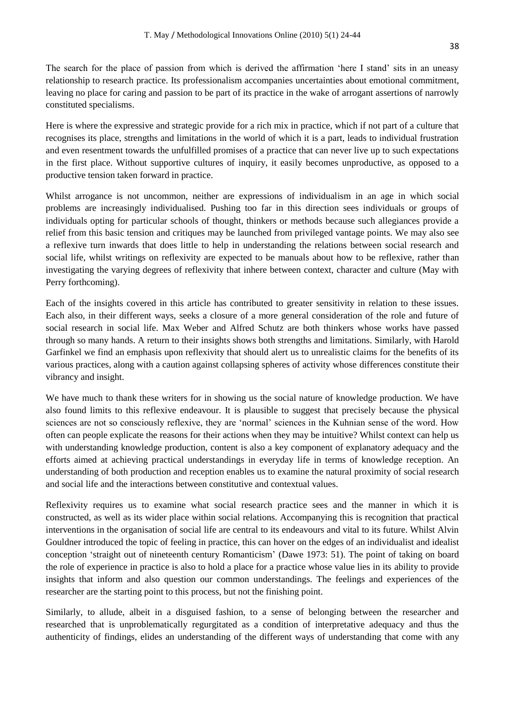The search for the place of passion from which is derived the affirmation "here I stand" sits in an uneasy relationship to research practice. Its professionalism accompanies uncertainties about emotional commitment, leaving no place for caring and passion to be part of its practice in the wake of arrogant assertions of narrowly constituted specialisms.

Here is where the expressive and strategic provide for a rich mix in practice, which if not part of a culture that recognises its place, strengths and limitations in the world of which it is a part, leads to individual frustration and even resentment towards the unfulfilled promises of a practice that can never live up to such expectations in the first place. Without supportive cultures of inquiry, it easily becomes unproductive, as opposed to a productive tension taken forward in practice.

Whilst arrogance is not uncommon, neither are expressions of individualism in an age in which social problems are increasingly individualised. Pushing too far in this direction sees individuals or groups of individuals opting for particular schools of thought, thinkers or methods because such allegiances provide a relief from this basic tension and critiques may be launched from privileged vantage points. We may also see a reflexive turn inwards that does little to help in understanding the relations between social research and social life, whilst writings on reflexivity are expected to be manuals about how to be reflexive, rather than investigating the varying degrees of reflexivity that inhere between context, character and culture (May with Perry forthcoming).

Each of the insights covered in this article has contributed to greater sensitivity in relation to these issues. Each also, in their different ways, seeks a closure of a more general consideration of the role and future of social research in social life. Max Weber and Alfred Schutz are both thinkers whose works have passed through so many hands. A return to their insights shows both strengths and limitations. Similarly, with Harold Garfinkel we find an emphasis upon reflexivity that should alert us to unrealistic claims for the benefits of its various practices, along with a caution against collapsing spheres of activity whose differences constitute their vibrancy and insight.

We have much to thank these writers for in showing us the social nature of knowledge production. We have also found limits to this reflexive endeavour. It is plausible to suggest that precisely because the physical sciences are not so consciously reflexive, they are 'normal' sciences in the Kuhnian sense of the word. How often can people explicate the reasons for their actions when they may be intuitive? Whilst context can help us with understanding knowledge production, content is also a key component of explanatory adequacy and the efforts aimed at achieving practical understandings in everyday life in terms of knowledge reception. An understanding of both production and reception enables us to examine the natural proximity of social research and social life and the interactions between constitutive and contextual values.

Reflexivity requires us to examine what social research practice sees and the manner in which it is constructed, as well as its wider place within social relations. Accompanying this is recognition that practical interventions in the organisation of social life are central to its endeavours and vital to its future. Whilst Alvin Gouldner introduced the topic of feeling in practice, this can hover on the edges of an individualist and idealist conception "straight out of nineteenth century Romanticism" (Dawe 1973: 51). The point of taking on board the role of experience in practice is also to hold a place for a practice whose value lies in its ability to provide insights that inform and also question our common understandings. The feelings and experiences of the researcher are the starting point to this process, but not the finishing point.

Similarly, to allude, albeit in a disguised fashion, to a sense of belonging between the researcher and researched that is unproblematically regurgitated as a condition of interpretative adequacy and thus the authenticity of findings, elides an understanding of the different ways of understanding that come with any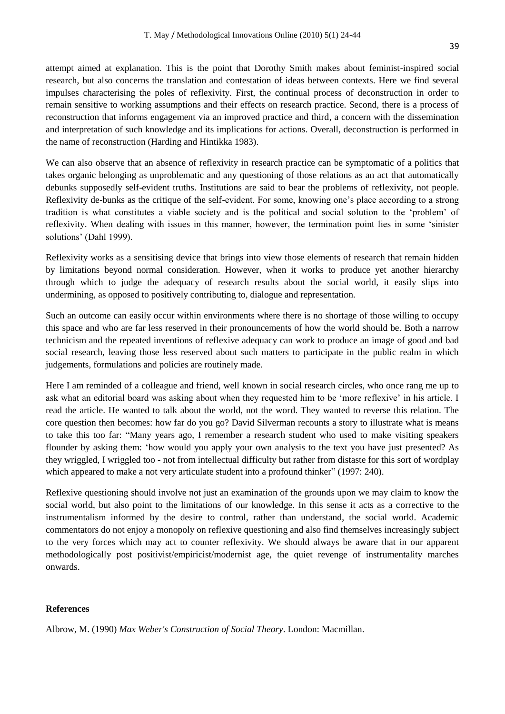attempt aimed at explanation. This is the point that Dorothy Smith makes about feminist-inspired social research, but also concerns the translation and contestation of ideas between contexts. Here we find several impulses characterising the poles of reflexivity. First, the continual process of deconstruction in order to remain sensitive to working assumptions and their effects on research practice. Second, there is a process of reconstruction that informs engagement via an improved practice and third, a concern with the dissemination and interpretation of such knowledge and its implications for actions. Overall, deconstruction is performed in the name of reconstruction (Harding and Hintikka 1983).

We can also observe that an absence of reflexivity in research practice can be symptomatic of a politics that takes organic belonging as unproblematic and any questioning of those relations as an act that automatically debunks supposedly self-evident truths. Institutions are said to bear the problems of reflexivity, not people. Reflexivity de-bunks as the critique of the self-evident. For some, knowing one"s place according to a strong tradition is what constitutes a viable society and is the political and social solution to the "problem" of reflexivity. When dealing with issues in this manner, however, the termination point lies in some "sinister solutions' (Dahl 1999).

Reflexivity works as a sensitising device that brings into view those elements of research that remain hidden by limitations beyond normal consideration. However, when it works to produce yet another hierarchy through which to judge the adequacy of research results about the social world, it easily slips into undermining, as opposed to positively contributing to, dialogue and representation.

Such an outcome can easily occur within environments where there is no shortage of those willing to occupy this space and who are far less reserved in their pronouncements of how the world should be. Both a narrow technicism and the repeated inventions of reflexive adequacy can work to produce an image of good and bad social research, leaving those less reserved about such matters to participate in the public realm in which judgements, formulations and policies are routinely made.

Here I am reminded of a colleague and friend, well known in social research circles, who once rang me up to ask what an editorial board was asking about when they requested him to be "more reflexive" in his article. I read the article. He wanted to talk about the world, not the word. They wanted to reverse this relation. The core question then becomes: how far do you go? David Silverman recounts a story to illustrate what is means to take this too far: "Many years ago, I remember a research student who used to make visiting speakers flounder by asking them: "how would you apply your own analysis to the text you have just presented? As they wriggled, I wriggled too - not from intellectual difficulty but rather from distaste for this sort of wordplay which appeared to make a not very articulate student into a profound thinker" (1997: 240).

Reflexive questioning should involve not just an examination of the grounds upon we may claim to know the social world, but also point to the limitations of our knowledge. In this sense it acts as a corrective to the instrumentalism informed by the desire to control, rather than understand, the social world. Academic commentators do not enjoy a monopoly on reflexive questioning and also find themselves increasingly subject to the very forces which may act to counter reflexivity. We should always be aware that in our apparent methodologically post positivist/empiricist/modernist age, the quiet revenge of instrumentality marches onwards.

#### **References**

Albrow, M. (1990) *Max Weber's Construction of Social Theory*. London: Macmillan.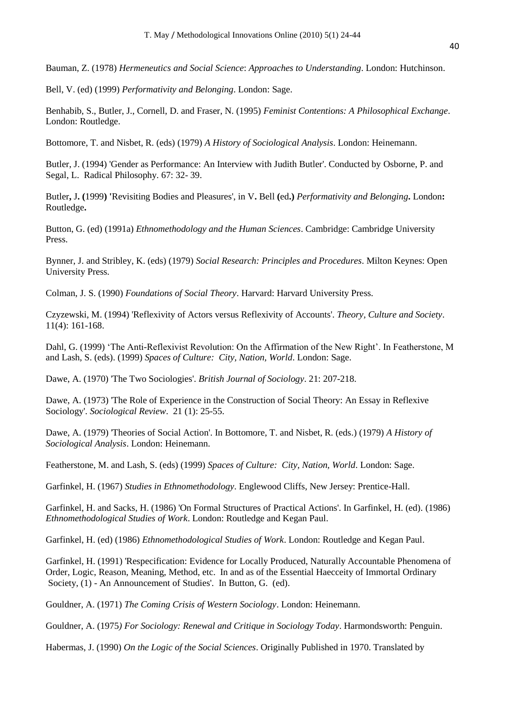Bauman, Z. (1978) *Hermeneutics and Social Science*: *Approaches to Understanding*. London: Hutchinson.

Bell, V. (ed) (1999) *Performativity and Belonging*. London: Sage.

Benhabib, S., Butler, J., Cornell, D. and Fraser, N. (1995) *Feminist Contentions: A Philosophical Exchange*. London: Routledge.

Bottomore, T. and Nisbet, R. (eds) (1979) *A History of Sociological Analysis*. London: Heinemann.

Butler, J. (1994) 'Gender as Performance: An Interview with Judith Butler'. Conducted by Osborne, P. and Segal, L. Radical Philosophy. 67: 32- 39.

Butler**,** J**. (**1999**) '**Revisiting Bodies and Pleasures', in V**.** Bell **(**ed**.)** *Performativity and Belonging***.** London**:** Routledge**.** 

Button, G. (ed) (1991a) *Ethnomethodology and the Human Sciences*. Cambridge: Cambridge University Press.

Bynner, J. and Stribley, K. (eds) (1979) *Social Research: Principles and Procedures*. Milton Keynes: Open University Press.

Colman, J. S. (1990) *Foundations of Social Theory*. Harvard: Harvard University Press.

Czyzewski, M. (1994) 'Reflexivity of Actors versus Reflexivity of Accounts'. *Theory, Culture and Society*. 11(4): 161-168.

Dahl, G. (1999) "The Anti-Reflexivist Revolution: On the Affirmation of the New Right". In Featherstone, M and Lash, S. (eds). (1999) *Spaces of Culture: City, Nation, World*. London: Sage.

Dawe, A. (1970) 'The Two Sociologies'. *British Journal of Sociology*. 21: 207-218.

Dawe, A. (1973) 'The Role of Experience in the Construction of Social Theory: An Essay in Reflexive Sociology'. *Sociological Review*. 21 (1): 25-55.

Dawe, A. (1979) 'Theories of Social Action'. In Bottomore, T. and Nisbet, R. (eds.) (1979) *A History of Sociological Analysis*. London: Heinemann.

Featherstone, M. and Lash, S. (eds) (1999) *Spaces of Culture: City, Nation, World*. London: Sage.

Garfinkel, H. (1967) *Studies in Ethnomethodology*. Englewood Cliffs, New Jersey: Prentice-Hall.

Garfinkel, H. and Sacks, H. (1986) 'On Formal Structures of Practical Actions'. In Garfinkel, H. (ed). (1986) *Ethnomethodological Studies of Work*. London: Routledge and Kegan Paul.

Garfinkel, H. (ed) (1986) *Ethnomethodological Studies of Work*. London: Routledge and Kegan Paul.

Garfinkel, H. (1991) 'Respecification: Evidence for Locally Produced, Naturally Accountable Phenomena of Order, Logic, Reason, Meaning, Method, etc. In and as of the Essential Haecceity of Immortal Ordinary Society, (1) - An Announcement of Studies'. In Button, G. (ed).

Gouldner, A. (1971) *The Coming Crisis of Western Sociology*. London: Heinemann.

Gouldner, A. (1975*) For Sociology: Renewal and Critique in Sociology Today*. Harmondsworth: Penguin.

Habermas, J. (1990) *On the Logic of the Social Sciences*. Originally Published in 1970. Translated by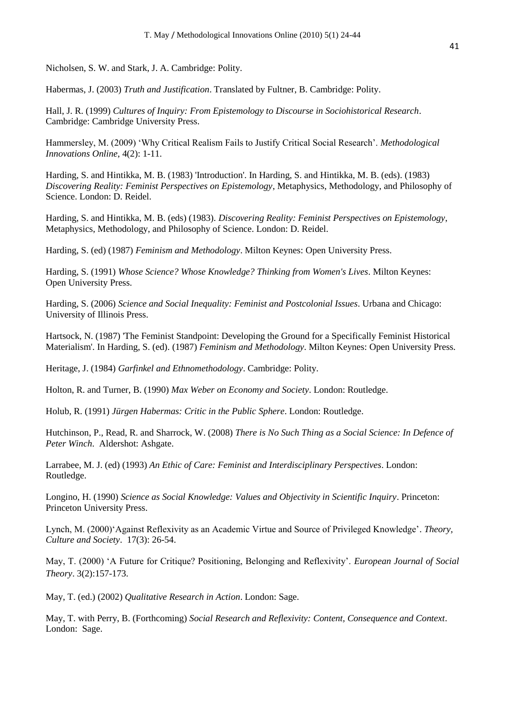Nicholsen, S. W. and Stark, J. A. Cambridge: Polity.

Habermas, J. (2003) *Truth and Justification*. Translated by Fultner, B. Cambridge: Polity.

Hall, J. R. (1999) *Cultures of Inquiry: From Epistemology to Discourse in Sociohistorical Research*. Cambridge: Cambridge University Press.

Hammersley, M. (2009) "Why Critical Realism Fails to Justify Critical Social Research". *Methodological Innovations Online*, 4(2): 1-11.

Harding, S. and Hintikka, M. B. (1983) 'Introduction'. In Harding, S. and Hintikka, M. B. (eds). (1983) *Discovering Reality: Feminist Perspectives on Epistemology*, Metaphysics, Methodology, and Philosophy of Science. London: D. Reidel.

Harding, S. and Hintikka, M. B. (eds) (1983). *Discovering Reality: Feminist Perspectives on Epistemology*, Metaphysics, Methodology, and Philosophy of Science. London: D. Reidel.

Harding, S. (ed) (1987) *Feminism and Methodology*. Milton Keynes: Open University Press.

Harding, S. (1991) *Whose Science? Whose Knowledge? Thinking from Women's Lives*. Milton Keynes: Open University Press.

Harding, S. (2006) *Science and Social Inequality: Feminist and Postcolonial Issues*. Urbana and Chicago: University of Illinois Press.

Hartsock, N. (1987) 'The Feminist Standpoint: Developing the Ground for a Specifically Feminist Historical Materialism'. In Harding, S. (ed). (1987) *Feminism and Methodology*. Milton Keynes: Open University Press.

Heritage, J. (1984) *Garfinkel and Ethnomethodology*. Cambridge: Polity.

Holton, R. and Turner, B. (1990) *Max Weber on Economy and Society*. London: Routledge.

Holub, R. (1991) *Jürgen Habermas: Critic in the Public Sphere*. London: Routledge.

Hutchinson, P., Read, R. and Sharrock, W. (2008) *There is No Such Thing as a Social Science: In Defence of Peter Winch*. Aldershot: Ashgate.

Larrabee, M. J. (ed) (1993) *An Ethic of Care: Feminist and Interdisciplinary Perspectives*. London: Routledge.

Longino, H. (1990) *Science as Social Knowledge: Values and Objectivity in Scientific Inquiry*. Princeton: Princeton University Press.

Lynch, M. (2000)"Against Reflexivity as an Academic Virtue and Source of Privileged Knowledge". *Theory, Culture and Society*. 17(3): 26-54.

May, T. (2000) "A Future for Critique? Positioning, Belonging and Reflexivity". *European Journal of Social Theory*. 3(2):157-173.

May, T. (ed.) (2002) *Qualitative Research in Action*. London: Sage.

May, T. with Perry, B. (Forthcoming) *Social Research and Reflexivity: Content, Consequence and Context*. London: Sage.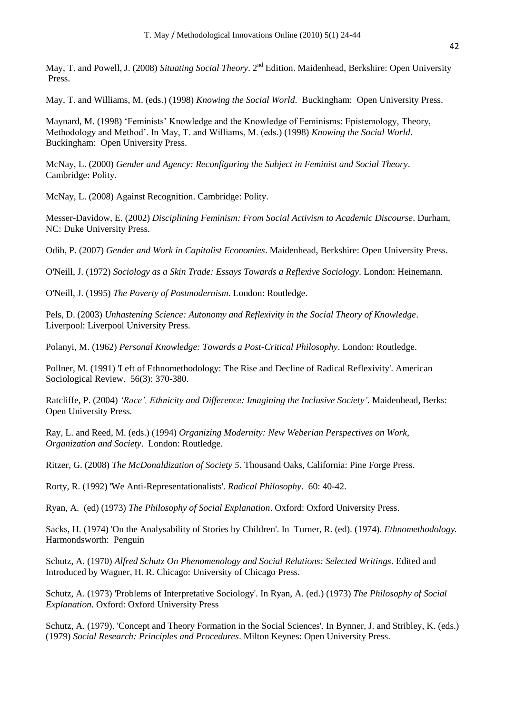May, T. and Powell, J. (2008) *Situating Social Theory*. 2<sup>nd</sup> Edition. Maidenhead, Berkshire: Open University Press.

May, T. and Williams, M. (eds.) (1998) *Knowing the Social World*. Buckingham: Open University Press.

Maynard, M. (1998) "Feminists" Knowledge and the Knowledge of Feminisms: Epistemology, Theory, Methodology and Method". In May, T. and Williams, M. (eds.) (1998) *Knowing the Social World*. Buckingham: Open University Press.

McNay, L. (2000) *Gender and Agency: Reconfiguring the Subject in Feminist and Social Theory*. Cambridge: Polity.

McNay, L. (2008) Against Recognition. Cambridge: Polity.

Messer-Davidow, E. (2002) *Disciplining Feminism: From Social Activism to Academic Discourse*. Durham, NC: Duke University Press.

Odih, P. (2007) *Gender and Work in Capitalist Economies*. Maidenhead, Berkshire: Open University Press.

O'Neill, J. (1972) *Sociology as a Skin Trade: Essays Towards a Reflexive Sociology*. London: Heinemann.

O'Neill, J. (1995) *The Poverty of Postmodernism*. London: Routledge.

Pels, D. (2003) *Unhastening Science: Autonomy and Reflexivity in the Social Theory of Knowledge*. Liverpool: Liverpool University Press.

Polanyi, M. (1962) *Personal Knowledge: Towards a Post-Critical Philosophy*. London: Routledge.

Pollner, M. (1991) 'Left of Ethnomethodology: The Rise and Decline of Radical Reflexivity'. American Sociological Review. 56(3): 370-380.

Ratcliffe, P. (2004) *'Race', Ethnicity and Difference: Imagining the Inclusive Society'*. Maidenhead, Berks: Open University Press.

Ray, L. and Reed, M. (eds.) (1994) *Organizing Modernity: New Weberian Perspectives on Work, Organization and Society*. London: Routledge.

Ritzer, G. (2008) *The McDonaldization of Society 5*. Thousand Oaks, California: Pine Forge Press.

Rorty, R. (1992) 'We Anti-Representationalists'. *Radical Philosophy*. 60: 40-42.

Ryan, A. (ed) (1973) *The Philosophy of Social Explanation*. Oxford: Oxford University Press.

Sacks, H. (1974) 'On the Analysability of Stories by Children'. In Turner, R. (ed). (1974). *Ethnomethodology.* Harmondsworth: Penguin

Schutz, A. (1970) *Alfred Schutz On Phenomenology and Social Relations: Selected Writings*. Edited and Introduced by Wagner, H. R. Chicago: University of Chicago Press.

Schutz, A. (1973) 'Problems of Interpretative Sociology'. In Ryan, A. (ed.) (1973) *The Philosophy of Social Explanation*. Oxford: Oxford University Press

Schutz, A. (1979). 'Concept and Theory Formation in the Social Sciences'. In Bynner, J. and Stribley, K. (eds.) (1979) *Social Research: Principles and Procedures*. Milton Keynes: Open University Press.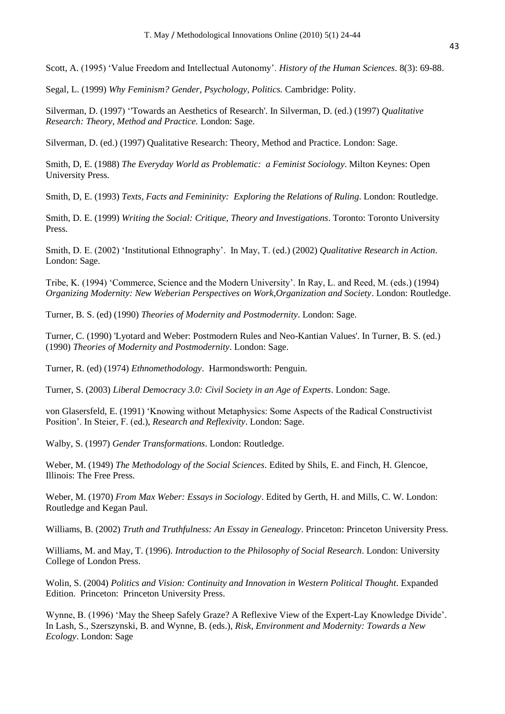Scott, A. (1995) "Value Freedom and Intellectual Autonomy". *History of the Human Sciences*. 8(3): 69-88.

Segal, L. (1999) *Why Feminism? Gender, Psychology, Politics.* Cambridge: Polity.

Silverman, D. (1997) "'Towards an Aesthetics of Research'. In Silverman, D. (ed.) (1997) *Qualitative Research: Theory, Method and Practice.* London: Sage.

Silverman, D. (ed.) (1997) Qualitative Research: Theory, Method and Practice. London: Sage.

Smith, D, E. (1988) *The Everyday World as Problematic: a Feminist Sociology*. Milton Keynes: Open University Press.

Smith, D, E. (1993) *Texts, Facts and Femininity: Exploring the Relations of Ruling*. London: Routledge.

Smith, D. E. (1999) *Writing the Social: Critique, Theory and Investigations*. Toronto: Toronto University Press.

Smith, D. E. (2002) "Institutional Ethnography". In May, T. (ed.) (2002) *Qualitative Research in Action*. London: Sage.

Tribe, K. (1994) "Commerce, Science and the Modern University". In Ray, L. and Reed, M. (eds.) (1994) *Organizing Modernity: New Weberian Perspectives on Work,Organization and Society*. London: Routledge.

Turner, B. S. (ed) (1990) *Theories of Modernity and Postmodernity*. London: Sage.

Turner, C. (1990) 'Lyotard and Weber: Postmodern Rules and Neo-Kantian Values'. In Turner, B. S. (ed.) (1990) *Theories of Modernity and Postmodernity*. London: Sage.

Turner, R. (ed) (1974) *Ethnomethodology*. Harmondsworth: Penguin.

Turner, S. (2003) *Liberal Democracy 3.0: Civil Society in an Age of Experts*. London: Sage.

von Glasersfeld, E. (1991) "Knowing without Metaphysics: Some Aspects of the Radical Constructivist Position". In Steier, F. (ed.), *Research and Reflexivity*. London: Sage.

Walby, S. (1997) *Gender Transformations*. London: Routledge.

Weber, M. (1949) *The Methodology of the Social Sciences*. Edited by Shils, E. and Finch, H. Glencoe, Illinois: The Free Press.

Weber, M. (1970) *From Max Weber: Essays in Sociology*. Edited by Gerth, H. and Mills, C. W. London: Routledge and Kegan Paul.

Williams, B. (2002) *Truth and Truthfulness: An Essay in Genealogy*. Princeton: Princeton University Press.

Williams, M. and May, T. (1996). *Introduction to the Philosophy of Social Research*. London: University College of London Press.

Wolin, S. (2004) *Politics and Vision: Continuity and Innovation in Western Political Thought*. Expanded Edition. Princeton: Princeton University Press.

Wynne, B. (1996) 'May the Sheep Safely Graze? A Reflexive View of the Expert-Lay Knowledge Divide'. In Lash, S., Szerszynski, B. and Wynne, B. (eds.), *Risk, Environment and Modernity: Towards a New Ecology*. London: Sage